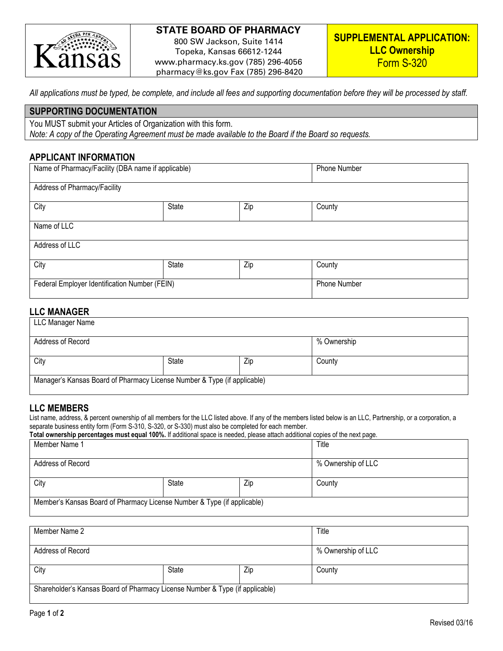

# **STATE BOARD OF PHARMACY**

800 SW Jackson, Suite 1414 Topeka, Kansas 66612-1244 www.pharmacy.ks.gov (785) 296-4056 pharmacy@ks.gov Fax (785) 296-8420

*All applications must be typed, be complete, and include all fees and supporting documentation before they will be processed by staff.*

#### **SUPPORTING DOCUMENTATION**

You MUST submit your Articles of Organization with this form. *Note: A copy of the Operating Agreement must be made available to the Board if the Board so requests.*

#### **APPLICANT INFORMATION**

| Name of Pharmacy/Facility (DBA name if applicable) |       |     | Phone Number        |  |
|----------------------------------------------------|-------|-----|---------------------|--|
| Address of Pharmacy/Facility                       |       |     |                     |  |
| City<br>State<br>Zip                               |       |     | County              |  |
| Name of LLC                                        |       |     |                     |  |
| Address of LLC                                     |       |     |                     |  |
| City                                               | State | Zip | County              |  |
| Federal Employer Identification Number (FEIN)      |       |     | <b>Phone Number</b> |  |

## **LLC MANAGER**

| LLC Manager Name                                                         |              |     |             |  |  |
|--------------------------------------------------------------------------|--------------|-----|-------------|--|--|
| Address of Record                                                        |              |     | % Ownership |  |  |
| City                                                                     | <b>State</b> | Zip | County      |  |  |
| Manager's Kansas Board of Pharmacy License Number & Type (if applicable) |              |     |             |  |  |

## **LLC MEMBERS**

List name, address, & percent ownership of all members for the LLC listed above. If any of the members listed below is an LLC, Partnership, or a corporation, a separate business entity form (Form S-310, S-320, or S-330) must also be completed for each member.

| Total ownership percentages must equal 100%. If additional space is needed, please attach additional copies of the next page. |       |     |                    |  |
|-------------------------------------------------------------------------------------------------------------------------------|-------|-----|--------------------|--|
| Member Name 1                                                                                                                 |       |     | Title              |  |
|                                                                                                                               |       |     |                    |  |
| Address of Record                                                                                                             |       |     | % Ownership of LLC |  |
|                                                                                                                               |       |     |                    |  |
| City                                                                                                                          | State | Zip | County             |  |
|                                                                                                                               |       |     |                    |  |
| Member's Kansas Board of Pharmacy License Number & Type (if applicable)                                                       |       |     |                    |  |
|                                                                                                                               |       |     |                    |  |

| Member Name 2                                                                |       |     | Title              |
|------------------------------------------------------------------------------|-------|-----|--------------------|
| Address of Record                                                            |       |     | % Ownership of LLC |
| City                                                                         | State | Zip | County             |
| Shareholder's Kansas Board of Pharmacy License Number & Type (if applicable) |       |     |                    |